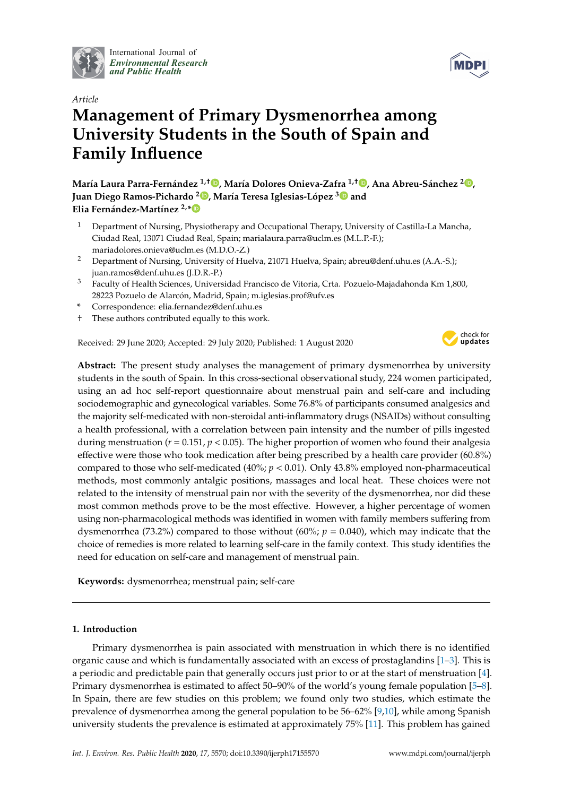

International Journal of *[Environmental Research](http://www.mdpi.com/journal/ijerph) and Public Health*



# *Article* **Management of Primary Dysmenorrhea among University Students in the South of Spain and Family Influence**

**María Laura Parra-Fernández 1,**† **[,](https://orcid.org/0000-0001-9681-1737) María Dolores Onieva-Zafra 1,**† **[,](https://orcid.org/0000-0002-1052-2182) Ana Abreu-Sánchez <sup>2</sup> [,](https://orcid.org/0000-0003-1240-4611) Juan Diego Ramos-Pichardo <sup>2</sup> [,](https://orcid.org/0000-0002-6207-8490) María Teresa Iglesias-López [3](https://orcid.org/0000-0003-4511-5592) and Elia Fernández-Martínez 2,[\\*](https://orcid.org/0000-0002-7700-999X)**

- <sup>1</sup> Department of Nursing, Physiotherapy and Occupational Therapy, University of Castilla-La Mancha, Ciudad Real, 13071 Ciudad Real, Spain; marialaura.parra@uclm.es (M.L.P.-F.); mariadolores.onieva@uclm.es (M.D.O.-Z.)
- <sup>2</sup> Department of Nursing, University of Huelva, 21071 Huelva, Spain; abreu@denf.uhu.es (A.A.-S.); juan.ramos@denf.uhu.es (J.D.R.-P.)
- <sup>3</sup> Faculty of Health Sciences, Universidad Francisco de Vitoria, Crta. Pozuelo-Majadahonda Km 1,800, 28223 Pozuelo de Alarcón, Madrid, Spain; m.iglesias.prof@ufv.es
- **\*** Correspondence: elia.fernandez@denf.uhu.es
- † These authors contributed equally to this work.

Received: 29 June 2020; Accepted: 29 July 2020; Published: 1 August 2020



**Abstract:** The present study analyses the management of primary dysmenorrhea by university students in the south of Spain. In this cross-sectional observational study, 224 women participated, using an ad hoc self-report questionnaire about menstrual pain and self-care and including sociodemographic and gynecological variables. Some 76.8% of participants consumed analgesics and the majority self-medicated with non-steroidal anti-inflammatory drugs (NSAIDs) without consulting a health professional, with a correlation between pain intensity and the number of pills ingested during menstruation (*r* = 0.151, *p* < 0.05). The higher proportion of women who found their analgesia effective were those who took medication after being prescribed by a health care provider (60.8%) compared to those who self-medicated (40%; *p* < 0.01). Only 43.8% employed non-pharmaceutical methods, most commonly antalgic positions, massages and local heat. These choices were not related to the intensity of menstrual pain nor with the severity of the dysmenorrhea, nor did these most common methods prove to be the most effective. However, a higher percentage of women using non-pharmacological methods was identified in women with family members suffering from dysmenorrhea (73.2%) compared to those without (60%; *p* = 0.040), which may indicate that the choice of remedies is more related to learning self-care in the family context. This study identifies the need for education on self-care and management of menstrual pain.

**Keywords:** dysmenorrhea; menstrual pain; self-care

# **1. Introduction**

Primary dysmenorrhea is pain associated with menstruation in which there is no identified organic cause and which is fundamentally associated with an excess of prostaglandins [\[1](#page-10-0)[–3\]](#page-10-1). This is a periodic and predictable pain that generally occurs just prior to or at the start of menstruation [\[4\]](#page-10-2). Primary dysmenorrhea is estimated to affect 50–90% of the world's young female population [\[5](#page-10-3)[–8\]](#page-10-4). In Spain, there are few studies on this problem; we found only two studies, which estimate the prevalence of dysmenorrhea among the general population to be 56–62% [\[9,](#page-10-5)[10\]](#page-10-6), while among Spanish university students the prevalence is estimated at approximately 75% [\[11\]](#page-10-7). This problem has gained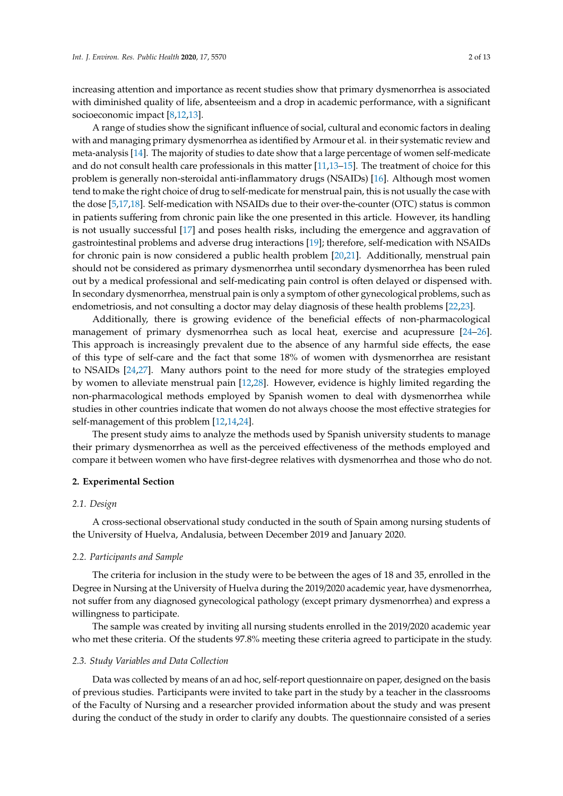increasing attention and importance as recent studies show that primary dysmenorrhea is associated with diminished quality of life, absenteeism and a drop in academic performance, with a significant socioeconomic impact [\[8,](#page-10-4)[12,](#page-10-8)[13\]](#page-10-9).

A range of studies show the significant influence of social, cultural and economic factors in dealing with and managing primary dysmenorrhea as identified by Armour et al. in their systematic review and meta-analysis [\[14\]](#page-10-10). The majority of studies to date show that a large percentage of women self-medicate and do not consult health care professionals in this matter [\[11,](#page-10-7)[13](#page-10-9)[–15\]](#page-10-11). The treatment of choice for this problem is generally non-steroidal anti-inflammatory drugs (NSAIDs) [\[16\]](#page-10-12). Although most women tend to make the right choice of drug to self-medicate for menstrual pain, this is not usually the case with the dose [\[5,](#page-10-3)[17,](#page-11-0)[18\]](#page-11-1). Self-medication with NSAIDs due to their over-the-counter (OTC) status is common in patients suffering from chronic pain like the one presented in this article. However, its handling is not usually successful [\[17\]](#page-11-0) and poses health risks, including the emergence and aggravation of gastrointestinal problems and adverse drug interactions [\[19\]](#page-11-2); therefore, self-medication with NSAIDs for chronic pain is now considered a public health problem [\[20,](#page-11-3)[21\]](#page-11-4). Additionally, menstrual pain should not be considered as primary dysmenorrhea until secondary dysmenorrhea has been ruled out by a medical professional and self-medicating pain control is often delayed or dispensed with. In secondary dysmenorrhea, menstrual pain is only a symptom of other gynecological problems, such as endometriosis, and not consulting a doctor may delay diagnosis of these health problems [\[22,](#page-11-5)[23\]](#page-11-6).

Additionally, there is growing evidence of the beneficial effects of non-pharmacological management of primary dysmenorrhea such as local heat, exercise and acupressure [\[24–](#page-11-7)[26\]](#page-11-8). This approach is increasingly prevalent due to the absence of any harmful side effects, the ease of this type of self-care and the fact that some 18% of women with dysmenorrhea are resistant to NSAIDs [\[24](#page-11-7)[,27\]](#page-11-9). Many authors point to the need for more study of the strategies employed by women to alleviate menstrual pain [\[12](#page-10-8)[,28\]](#page-11-10). However, evidence is highly limited regarding the non-pharmacological methods employed by Spanish women to deal with dysmenorrhea while studies in other countries indicate that women do not always choose the most effective strategies for self-management of this problem [\[12](#page-10-8)[,14](#page-10-10)[,24\]](#page-11-7).

The present study aims to analyze the methods used by Spanish university students to manage their primary dysmenorrhea as well as the perceived effectiveness of the methods employed and compare it between women who have first-degree relatives with dysmenorrhea and those who do not.

#### **2. Experimental Section**

## *2.1. Design*

A cross-sectional observational study conducted in the south of Spain among nursing students of the University of Huelva, Andalusia, between December 2019 and January 2020.

## *2.2. Participants and Sample*

The criteria for inclusion in the study were to be between the ages of 18 and 35, enrolled in the Degree in Nursing at the University of Huelva during the 2019/2020 academic year, have dysmenorrhea, not suffer from any diagnosed gynecological pathology (except primary dysmenorrhea) and express a willingness to participate.

The sample was created by inviting all nursing students enrolled in the 2019/2020 academic year who met these criteria. Of the students 97.8% meeting these criteria agreed to participate in the study.

## *2.3. Study Variables and Data Collection*

Data was collected by means of an ad hoc, self-report questionnaire on paper, designed on the basis of previous studies. Participants were invited to take part in the study by a teacher in the classrooms of the Faculty of Nursing and a researcher provided information about the study and was present during the conduct of the study in order to clarify any doubts. The questionnaire consisted of a series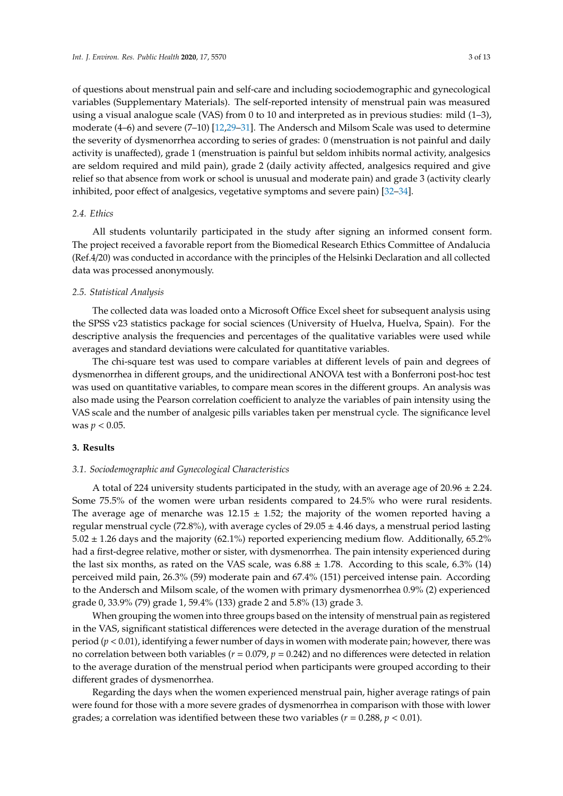of questions about menstrual pain and self-care and including sociodemographic and gynecological variables (Supplementary Materials). The self-reported intensity of menstrual pain was measured using a visual analogue scale (VAS) from 0 to 10 and interpreted as in previous studies: mild (1–3), moderate (4–6) and severe (7–10) [\[12](#page-10-8)[,29–](#page-11-11)[31\]](#page-11-12). The Andersch and Milsom Scale was used to determine the severity of dysmenorrhea according to series of grades: 0 (menstruation is not painful and daily activity is unaffected), grade 1 (menstruation is painful but seldom inhibits normal activity, analgesics are seldom required and mild pain), grade 2 (daily activity affected, analgesics required and give relief so that absence from work or school is unusual and moderate pain) and grade 3 (activity clearly inhibited, poor effect of analgesics, vegetative symptoms and severe pain) [\[32–](#page-11-13)[34\]](#page-11-14).

#### *2.4. Ethics*

All students voluntarily participated in the study after signing an informed consent form. The project received a favorable report from the Biomedical Research Ethics Committee of Andalucia (Ref.4/20) was conducted in accordance with the principles of the Helsinki Declaration and all collected data was processed anonymously.

#### *2.5. Statistical Analysis*

The collected data was loaded onto a Microsoft Office Excel sheet for subsequent analysis using the SPSS v23 statistics package for social sciences (University of Huelva, Huelva, Spain). For the descriptive analysis the frequencies and percentages of the qualitative variables were used while averages and standard deviations were calculated for quantitative variables.

The chi-square test was used to compare variables at different levels of pain and degrees of dysmenorrhea in different groups, and the unidirectional ANOVA test with a Bonferroni post-hoc test was used on quantitative variables, to compare mean scores in the different groups. An analysis was also made using the Pearson correlation coefficient to analyze the variables of pain intensity using the VAS scale and the number of analgesic pills variables taken per menstrual cycle. The significance level was  $p < 0.05$ .

#### **3. Results**

## *3.1. Sociodemographic and Gynecological Characteristics*

A total of 224 university students participated in the study, with an average age of 20.96  $\pm$  2.24. Some 75.5% of the women were urban residents compared to 24.5% who were rural residents. The average age of menarche was  $12.15 \pm 1.52$ ; the majority of the women reported having a regular menstrual cycle (72.8%), with average cycles of  $29.05 \pm 4.46$  days, a menstrual period lasting  $5.02 \pm 1.26$  days and the majority (62.1%) reported experiencing medium flow. Additionally, 65.2% had a first-degree relative, mother or sister, with dysmenorrhea. The pain intensity experienced during the last six months, as rated on the VAS scale, was  $6.88 \pm 1.78$ . According to this scale,  $6.3\%$  (14) perceived mild pain, 26.3% (59) moderate pain and 67.4% (151) perceived intense pain. According to the Andersch and Milsom scale, of the women with primary dysmenorrhea 0.9% (2) experienced grade 0, 33.9% (79) grade 1, 59.4% (133) grade 2 and 5.8% (13) grade 3.

When grouping the women into three groups based on the intensity of menstrual pain as registered in the VAS, significant statistical differences were detected in the average duration of the menstrual period (*p* < 0.01), identifying a fewer number of days in women with moderate pain; however, there was no correlation between both variables (*r* = 0.079, *p* = 0.242) and no differences were detected in relation to the average duration of the menstrual period when participants were grouped according to their different grades of dysmenorrhea.

Regarding the days when the women experienced menstrual pain, higher average ratings of pain were found for those with a more severe grades of dysmenorrhea in comparison with those with lower grades; a correlation was identified between these two variables ( $r = 0.288$ ,  $p < 0.01$ ).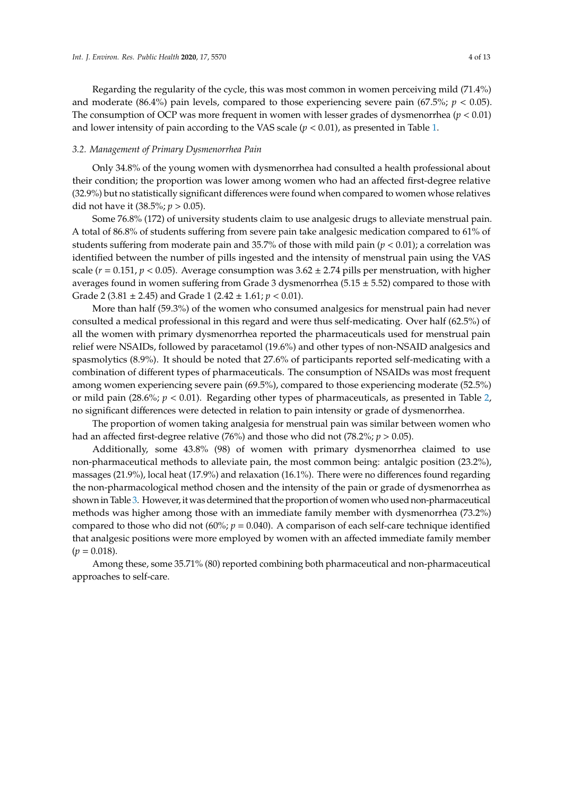Regarding the regularity of the cycle, this was most common in women perceiving mild (71.4%) and moderate  $(86.4\%)$  pain levels, compared to those experiencing severe pain  $(67.5\%)$ ;  $p < 0.05$ ). The consumption of OCP was more frequent in women with lesser grades of dysmenorrhea (*p* < 0.01) and lower intensity of pain according to the VAS scale  $(p < 0.01)$ , as presented in Table [1.](#page-4-0)

## *3.2. Management of Primary Dysmenorrhea Pain*

Only 34.8% of the young women with dysmenorrhea had consulted a health professional about their condition; the proportion was lower among women who had an affected first-degree relative (32.9%) but no statistically significant differences were found when compared to women whose relatives did not have it (38.5%; *p* > 0.05).

Some 76.8% (172) of university students claim to use analgesic drugs to alleviate menstrual pain. A total of 86.8% of students suffering from severe pain take analgesic medication compared to 61% of students suffering from moderate pain and 35.7% of those with mild pain  $(p < 0.01)$ ; a correlation was identified between the number of pills ingested and the intensity of menstrual pain using the VAS scale ( $r = 0.151$ ,  $p < 0.05$ ). Average consumption was  $3.62 \pm 2.74$  pills per menstruation, with higher averages found in women suffering from Grade 3 dysmenorrhea ( $5.15 \pm 5.52$ ) compared to those with Grade 2 (3.81 ± 2.45) and Grade 1 (2.42 ± 1.61; *p* < 0.01).

More than half (59.3%) of the women who consumed analgesics for menstrual pain had never consulted a medical professional in this regard and were thus self-medicating. Over half (62.5%) of all the women with primary dysmenorrhea reported the pharmaceuticals used for menstrual pain relief were NSAIDs, followed by paracetamol (19.6%) and other types of non-NSAID analgesics and spasmolytics (8.9%). It should be noted that 27.6% of participants reported self-medicating with a combination of different types of pharmaceuticals. The consumption of NSAIDs was most frequent among women experiencing severe pain (69.5%), compared to those experiencing moderate (52.5%) or mild pain (28.6%; *p* < 0.01). Regarding other types of pharmaceuticals, as presented in Table [2,](#page-5-0) no significant differences were detected in relation to pain intensity or grade of dysmenorrhea.

The proportion of women taking analgesia for menstrual pain was similar between women who had an affected first-degree relative (76%) and those who did not (78.2%; *p* > 0.05).

Additionally, some 43.8% (98) of women with primary dysmenorrhea claimed to use non-pharmaceutical methods to alleviate pain, the most common being: antalgic position (23.2%), massages (21.9%), local heat (17.9%) and relaxation (16.1%). There were no differences found regarding the non-pharmacological method chosen and the intensity of the pain or grade of dysmenorrhea as shown in Table [3.](#page-6-0) However, it was determined that the proportion of women who used non-pharmaceutical methods was higher among those with an immediate family member with dysmenorrhea (73.2%) compared to those who did not  $(60\%)$ ;  $p = 0.040$ ). A comparison of each self-care technique identified that analgesic positions were more employed by women with an affected immediate family member  $(p = 0.018)$ .

Among these, some 35.71% (80) reported combining both pharmaceutical and non-pharmaceutical approaches to self-care.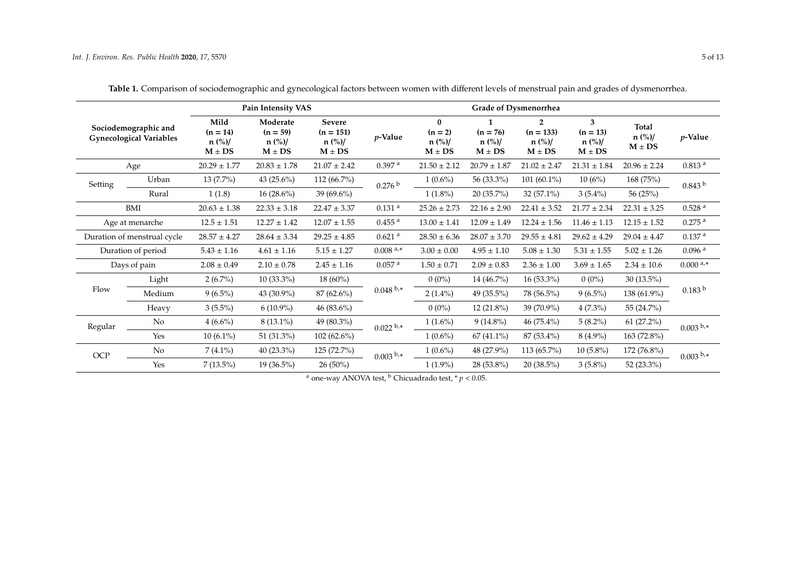<span id="page-4-0"></span>

| Sociodemographic and<br><b>Gynecological Variables</b> |        |                                              | Pain Intensity VAS                               |                                                 |                                   | <b>Grade of Dysmenorrhea</b>                  |                                                            |                                                         |                                           |                                                                   |                      |  |  |
|--------------------------------------------------------|--------|----------------------------------------------|--------------------------------------------------|-------------------------------------------------|-----------------------------------|-----------------------------------------------|------------------------------------------------------------|---------------------------------------------------------|-------------------------------------------|-------------------------------------------------------------------|----------------------|--|--|
|                                                        |        | Mild<br>$(n = 14)$<br>$n$ (%)/<br>$M \pm DS$ | Moderate<br>$(n = 59)$<br>$n$ (%)/<br>$M \pm DS$ | Severe<br>$(n = 151)$<br>$n$ (%)/<br>$M \pm DS$ | p-Value                           | $\bf{0}$<br>$(n = 2)$<br>n (%)/<br>$M \pm DS$ | 1<br>$(n = 76)$<br>$n \frac{\frac{6}{3}}{2}$<br>$M \pm DS$ | $\overline{2}$<br>$(n = 133)$<br>$n$ (%)/<br>$M \pm DS$ | 3<br>$(n = 13)$<br>$n$ (%)/<br>$M \pm DS$ | <b>Total</b><br>$n$ (%)/<br>$\mathbf{M} \pm \mathbf{D}\mathbf{S}$ | $p$ -Value           |  |  |
| Age                                                    |        | $20.29 \pm 1.77$                             | $20.83 \pm 1.78$                                 | $21.07 \pm 2.42$                                | 0.397 <sup>a</sup>                | $21.50 \pm 2.12$                              | $20.79 \pm 1.87$                                           | $21.02 \pm 2.47$                                        | $21.31 \pm 1.84$                          | $20.96 \pm 2.24$                                                  | 0.813 <sup>a</sup>   |  |  |
| Setting                                                | Urban  | $13(7.7\%)$                                  | 43 (25.6%)                                       | 112 (66.7%)                                     | 0.276 b                           | $1(0.6\%)$                                    | 56 (33.3%)                                                 | $101(60.1\%)$                                           | 10(6%)                                    | 168 (75%)                                                         | 0.843 <sup>b</sup>   |  |  |
|                                                        | Rural  | 1(1.8)                                       | $16(28.6\%)$                                     | $39(69.6\%)$                                    |                                   | $1(1.8\%)$                                    | 20 (35.7%)                                                 | 32 $(57.1\%)$                                           | $3(5.4\%)$                                | 56 (25%)                                                          |                      |  |  |
| BMI                                                    |        | $20.63 \pm 1.38$                             | $22.33 \pm 3.18$                                 | $22.47 \pm 3.37$                                | $0.131$ <sup>a</sup>              | $25.26 \pm 2.73$                              | $22.16 \pm 2.90$                                           | $22.41 \pm 3.52$                                        | $21.77 \pm 2.34$                          | $22.31 \pm 3.25$                                                  | 0.528 <sup>a</sup>   |  |  |
| Age at menarche                                        |        | $12.5 \pm 1.51$                              | $12.27 \pm 1.42$                                 | $12.07\pm1.55$                                  | $0.455$ <sup>a</sup>              | $13.00 \pm 1.41$                              | $12.09 \pm 1.49$                                           | $12.24 \pm 1.56$                                        | $11.46 \pm 1.13$                          | $12.15 \pm 1.52$                                                  | $0.275$ <sup>a</sup> |  |  |
| Duration of menstrual cycle                            |        | $28.57 \pm 4.27$                             | $28.64 \pm 3.34$                                 | $29.25 \pm 4.85$                                | $0.621$ <sup>a</sup>              | $28.50 \pm 6.36$                              | $28.07 \pm 3.70$                                           | $29.55 \pm 4.81$                                        | $29.62 \pm 4.29$                          | $29.04 \pm 4.47$                                                  | 0.137 <sup>a</sup>   |  |  |
| Duration of period                                     |        | $5.43 \pm 1.16$                              | $4.61 \pm 1.16$                                  | $5.15 \pm 1.27$                                 | $0.008$ <sup>a<sub>,*</sub></sup> | $3.00 \pm 0.00$                               | $4.95 \pm 1.10$                                            | $5.08 \pm 1.30$                                         | $5.31 \pm 1.55$                           | $5.02 \pm 1.26$                                                   | $0.096$ <sup>a</sup> |  |  |
| Days of pain                                           |        | $2.08 \pm 0.49$                              | $2.10 \pm 0.78$                                  | $2.45 \pm 1.16$                                 | $0.057$ <sup>a</sup>              | $1.50 \pm 0.71$                               | $2.09 \pm 0.83$                                            | $2.36 \pm 1.00$                                         | $3.69 \pm 1.65$                           | $2.34 \pm 10.6$                                                   | $0.000^{a,*}$        |  |  |
|                                                        | Light  | $2(6.7\%)$                                   | $10(33.3\%)$                                     | $18(60\%)$                                      |                                   | $0(0\%)$                                      | 14 (46.7%)                                                 | $16(53.3\%)$                                            | $0(0\%)$                                  | $30(13.5\%)$                                                      | 0.183 <sup>b</sup>   |  |  |
| Flow                                                   | Medium | $9(6.5\%)$                                   | 43 (30.9%)                                       | $87(62.6\%)$                                    | $0.048^{b,*}$                     | $2(1.4\%)$                                    | 49 (35.5%)                                                 | 78 (56.5%)                                              | $9(6.5\%)$                                | 138 (61.9%)                                                       |                      |  |  |
|                                                        | Heavy  | $3(5.5\%)$                                   | $6(10.9\%)$                                      | 46 $(83.6\%)$                                   |                                   | $0(0\%)$                                      | 12 (21.8%)                                                 | 39 (70.9%)                                              | $4(7.3\%)$                                | 55 (24.7%)                                                        |                      |  |  |
| Regular                                                | No     | $4(6.6\%)$                                   | $8(13.1\%)$                                      | 49 (80.3%)                                      | $0.022^{b,*}$                     | $1(1.6\%)$                                    | $9(14.8\%)$                                                | 46 (75.4%)                                              | $5(8.2\%)$                                | $61(27.2\%)$                                                      | $0.003^{b,*}$        |  |  |
|                                                        | Yes    | $10(6.1\%)$                                  | 51 (31.3%)                                       | $102(62.6\%)$                                   |                                   | $1(0.6\%)$                                    | $67(41.1\%)$                                               | 87 (53.4%)                                              | $8(4.9\%)$                                | 163 (72.8%)                                                       |                      |  |  |
| $OCP$                                                  | No.    | $7(4.1\%)$                                   | $40(23.3\%)$                                     | 125(72.7%)                                      | $0.003^{b,*}$                     | $1(0.6\%)$                                    | 48 (27.9%)                                                 | 113 (65.7%)                                             | $10(5.8\%)$                               | 172 (76.8%)                                                       | $0.003^{b,*}$        |  |  |
|                                                        | Yes    | $7(13.5\%)$                                  | $19(36.5\%)$                                     | $26(50\%)$                                      |                                   | $1(1.9\%)$                                    | 28 (53.8%)                                                 | $20(38.5\%)$                                            | $3(5.8\%)$                                | 52 (23.3%)                                                        |                      |  |  |

**Table 1.** Comparison of sociodemographic and gynecological factors between women with different levels of menstrual pain and grades of dysmenorrhea.

<sup>a</sup> one-way ANOVA test,  $\frac{b}{c}$  Chicuadrado test,  $\frac{*}{p}$  < 0.05.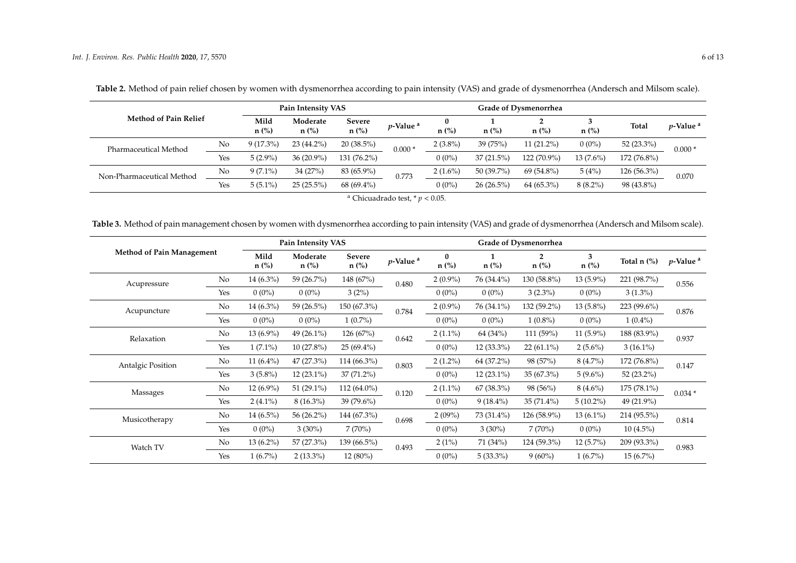| <b>Method of Pain Relief</b> |     | Pain Intensity VAS |                     |                          |                      |              | <b>Grade of Dysmenorrhea</b> |              |             |               |                              |
|------------------------------|-----|--------------------|---------------------|--------------------------|----------------------|--------------|------------------------------|--------------|-------------|---------------|------------------------------|
|                              |     | Mild<br>$n$ (%)    | Moderate<br>$n$ (%) | <b>Severe</b><br>$n$ (%) | p-Value <sup>a</sup> | 0<br>$n$ (%) | $n$ (%)                      | $n$ (%)      | $n$ (%)     | <b>Total</b>  | <i>p</i> -Value <sup>a</sup> |
| Pharmaceutical Method        | No  | $9(17.3\%)$        | 23 (44.2%)          | $20(38.5\%)$             | $0.000*$             | $2(3.8\%)$   | 39(75%)                      | $11(21.2\%)$ | $0(0\%)$    | 52 $(23.3\%)$ | $0.000*$                     |
|                              | Yes | $5(2.9\%)$         | $36(20.9\%)$        | 131 (76.2%)              |                      | $0(0\%)$     | $37(21.5\%)$                 | 122 (70.9%)  | $13(7.6\%)$ | 172 (76.8%)   |                              |
| Non-Pharmaceutical Method    | No  | $9(7.1\%)$         | 34(27%)             | 83 (65.9%)               | 0.773                | $2(1.6\%)$   | 50 (39.7%)                   | 69 (54.8%)   | 5(4%)       | $126(56.3\%)$ | 0.070                        |
|                              | Yes | $5(5.1\%)$         | $25(25.5\%)$        | $68(69.4\%)$             |                      | $0(0\%)$     | $26(26.5\%)$                 | $64(65.3\%)$ | $8(8.2\%)$  | 98 (43.8%)    |                              |

**Table 2.** Method of pain relief chosen by women with dysmenorrhea according to pain intensity (VAS) and grade of dysmenorrhea (Andersch and Milsom scale).

<sup>a</sup> Chicuadrado test,  $* p < 0.05$ .

**Table 3.** Method of pain management chosen by women with dysmenorrhea according to pain intensity (VAS) and grade of dysmenorrhea (Andersch and Milsom scale).

<span id="page-5-0"></span>

| <b>Method of Pain Management</b> |     |                 | Pain Intensity VAS  |                   |                         | Grade of Dysmenorrhea |              |                           |              |               |                         |
|----------------------------------|-----|-----------------|---------------------|-------------------|-------------------------|-----------------------|--------------|---------------------------|--------------|---------------|-------------------------|
|                                  |     | Mild<br>$n$ (%) | Moderate<br>$n$ (%) | Severe<br>$n$ (%) | $p$ -Value <sup>a</sup> | $\bf{0}$<br>$n$ (%)   | $n$ (%)      | $\overline{2}$<br>$n$ (%) | 3<br>$n$ (%) | Total n (%)   | $p$ -Value <sup>a</sup> |
| Acupressure                      | No  | $14(6.3\%)$     | 59 (26.7%)          | 148 (67%)         | 0.480                   | $2(0.9\%)$            | 76 (34.4%)   | 130 (58.8%)               | $13(5.9\%)$  | 221 (98.7%)   | 0.556                   |
|                                  | Yes | $0(0\%)$        | $0(0\%)$            | 3(2%)             |                         | $0(0\%)$              | $0(0\%)$     | $3(2.3\%)$                | $0(0\%)$     | $3(1.3\%)$    |                         |
| Acupuncture                      | No  | $14(6.3\%)$     | 59 (26.5%)          | 150 (67.3%)       | 0.784                   | $2(0.9\%)$            | 76 (34.1%)   | 132 (59.2%)               | $13(5.8\%)$  | 223 (99.6%)   | 0.876                   |
|                                  | Yes | $0(0\%)$        | $0(0\%)$            | $1(0.7\%)$        |                         | $0(0\%)$              | $0(0\%)$     | $1(0.8\%)$                | $0(0\%)$     | $1(0.4\%)$    |                         |
| Relaxation                       | No  | $13(6.9\%)$     | 49 (26.1%)          | 126(67%)          | 0.642                   | $2(1.1\%)$            | 64 (34%)     | 111 (59%)                 | $11(5.9\%)$  | 188 (83.9%)   | 0.937                   |
|                                  | Yes | $1(7.1\%)$      | 10 (27.8%)          | $25(69.4\%)$      |                         | $0(0\%)$              | $12(33.3\%)$ | $22(61.1\%)$              | $2(5.6\%)$   | $3(16.1\%)$   |                         |
| Antalgic Position                | No  | 11 $(6.4\%)$    | 47 (27.3%)          | 114 (66.3%)       | 0.803                   | $2(1.2\%)$            | 64 (37.2%)   | 98 (57%)                  | $8(4.7\%)$   | 172 (76.8%)   | 0.147                   |
|                                  | Yes | $3(5.8\%)$      | $12(23.1\%)$        | $37(71.2\%)$      |                         | $0(0\%)$              | $12(23.1\%)$ | $35(67.3\%)$              | $5(9.6\%)$   | 52 $(23.2\%)$ |                         |
| Massages                         | No  | $12(6.9\%)$     | 51 $(29.1\%)$       | $112(64.0\%)$     | 0.120                   | $2(1.1\%)$            | $67(38.3\%)$ | 98 (56%)                  | $8(4.6\%)$   | 175 (78.1%)   | $0.034*$                |
|                                  | Yes | $2(4.1\%)$      | $8(16.3\%)$         | 39 $(79.6\%)$     |                         | $0(0\%)$              | $9(18.4\%)$  | $35(71.4\%)$              | $5(10.2\%)$  | 49 (21.9%)    |                         |
| Musicotherapy                    | No  | $14(6.5\%)$     | 56 (26.2%)          | 144 (67.3%)       | 0.698                   | 2(09%)                | 73 (31.4%)   | 126 (58.9%)               | $13(6.1\%)$  | 214 (95.5%)   | 0.814                   |
|                                  | Yes | $0(0\%)$        | $3(30\%)$           | 7(70%)            |                         | $0(0\%)$              | $3(30\%)$    | 7(70%)                    | $0(0\%)$     | $10(4.5\%)$   |                         |
| Watch TV                         | No  | $13(6.2\%)$     | 57 (27.3%)          | 139 (66.5%)       | 0.493                   | 2(1%)                 | 71 (34%)     | 124 (59.3%)               | $12(5.7\%)$  | 209 (93.3%)   | 0.983                   |
|                                  | Yes | $1(6.7\%)$      | $2(13.3\%)$         | $12(80\%)$        |                         | $0(0\%)$              | $5(33.3\%)$  | $9(60\%)$                 | $1(6.7\%)$   | $15(6.7\%)$   |                         |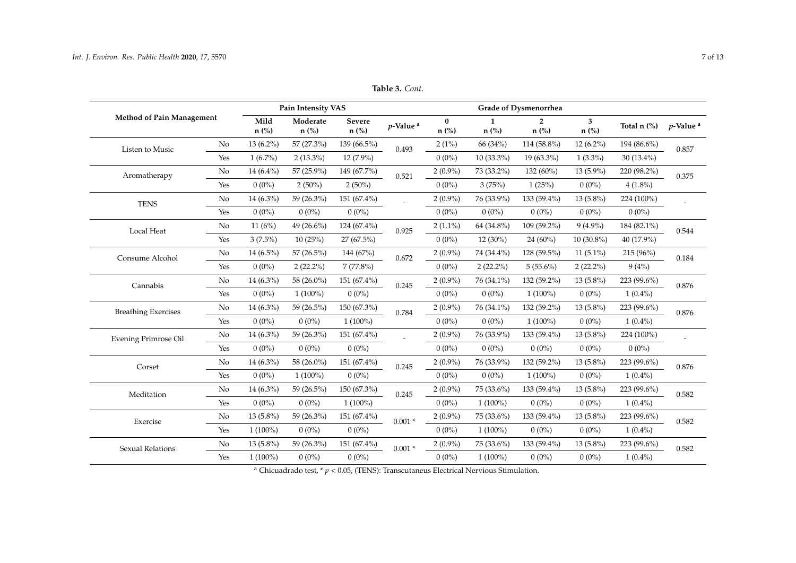<span id="page-6-0"></span>

|                                  |     |              | Pain Intensity VAS |                          |                         | Grade of Dysmenorrhea |                         |                           |              |                                      |                              |
|----------------------------------|-----|--------------|--------------------|--------------------------|-------------------------|-----------------------|-------------------------|---------------------------|--------------|--------------------------------------|------------------------------|
| <b>Method of Pain Management</b> |     |              | Moderate<br>n (%)  | <b>Severe</b><br>$n$ (%) | $p$ -Value <sup>a</sup> | $\bf{0}$<br>$n$ (%)   | $\mathbf{1}$<br>$n$ (%) | $\overline{2}$<br>$n$ (%) | 3<br>n (%)   | Total $n$ $\left(\frac{9}{6}\right)$ | <i>p</i> -Value <sup>a</sup> |
| Listen to Music                  | No  | $13(6.2\%)$  | 57 (27.3%)         | 139 (66.5%)              | 0.493                   | $2(1\%)$              | 66 (34%)                | 114 (58.8%)               | $12(6.2\%)$  | 194 (86.6%)                          | 0.857                        |
|                                  | Yes | $1(6.7\%)$   | $2(13.3\%)$        | $12(7.9\%)$              |                         | $0(0\%)$              | $10(33.3\%)$            | $19(63.3\%)$              | $1(3.3\%)$   | $30(13.4\%)$                         |                              |
| Aromatherapy                     | No  | $14(6.4\%)$  | 57 (25.9%)         | 149 (67.7%)              | 0.521                   | $2(0.9\%)$            | 73 (33.2%)              | 132 (60%)                 | $13(5.9\%)$  | 220 (98.2%)                          | 0.375                        |
|                                  | Yes | $0(0\%)$     | $2(50\%)$          | $2(50\%)$                |                         | $0(0\%)$              | 3(75%)                  | 1(25%)                    | $0(0\%)$     | $4(1.8\%)$                           |                              |
| <b>TENS</b>                      | No  | 14 $(6.3\%)$ | 59 (26.3%)         | 151 (67.4%)              |                         | $2(0.9\%)$            | 76 (33.9%)              | 133 (59.4%)               | $13(5.8\%)$  | 224 (100%)                           |                              |
|                                  | Yes | $0(0\%)$     | $0(0\%)$           | $0(0\%)$                 |                         | $0(0\%)$              | $0(0\%)$                | $0(0\%)$                  | $0(0\%)$     | $0(0\%)$                             |                              |
| Local Heat                       | No  | 11(6%)       | 49 (26.6%)         | $124(67.4\%)$            | 0.925                   | $2(1.1\%)$            | 64 (34.8%)              | 109 (59.2%)               | $9(4.9\%)$   | 184 (82.1%)                          | 0.544                        |
|                                  | Yes | $3(7.5\%)$   | 10(25%)            | 27 (67.5%)               |                         | $0(0\%)$              | $12(30\%)$              | $24(60\%)$                | $10(30.8\%)$ | 40 (17.9%)                           |                              |
| Consume Alcohol                  | No  | $14(6.5\%)$  | 57 (26.5%)         | 144 (67%)                | 0.672                   | $2(0.9\%)$            | 74 (34.4%)              | 128 (59.5%)               | $11(5.1\%)$  | 215 (96%)                            | 0.184                        |
|                                  | Yes | $0(0\%)$     | $2(22.2\%)$        | $7(77.8\%)$              |                         | $0(0\%)$              | $2(22.2\%)$             | $5(55.6\%)$               | $2(22.2\%)$  | 9(4%)                                |                              |
| Cannabis                         | No  | $14(6.3\%)$  | 58 (26.0%)         | 151 (67.4%)              | 0.245                   | $2(0.9\%)$            | 76 (34.1%)              | 132 (59.2%)               | $13(5.8\%)$  | 223 (99.6%)                          | 0.876                        |
|                                  | Yes | $0(0\%)$     | $1(100\%)$         | $0(0\%)$                 |                         | $0(0\%)$              | $0(0\%)$                | $1(100\%)$                | $0(0\%)$     | $1(0.4\%)$                           |                              |
| <b>Breathing Exercises</b>       | No  | $14(6.3\%)$  | 59 (26.5%)         | 150 (67.3%)              | 0.784                   | $2(0.9\%)$            | 76 (34.1%)              | 132 (59.2%)               | $13(5.8\%)$  | 223 (99.6%)                          | 0.876                        |
|                                  | Yes | $0(0\%)$     | $0(0\%)$           | $1(100\%)$               |                         | $0(0\%)$              | $0(0\%)$                | $1(100\%)$                | $0(0\%)$     | $1(0.4\%)$                           |                              |
| Evening Primrose Oil             | No  | $14(6.3\%)$  | 59 (26.3%)         | 151 (67.4%)              | $\overline{a}$          | $2(0.9\%)$            | 76 (33.9%)              | 133 (59.4%)               | $13(5.8\%)$  | 224 (100%)                           |                              |
|                                  | Yes | $0(0\%)$     | $0(0\%)$           | $0(0\%)$                 |                         | $0(0\%)$              | $0(0\%)$                | $0(0\%)$                  | $0(0\%)$     | $0(0\%)$                             |                              |
| Corset                           | No  | $14(6.3\%)$  | 58 (26.0%)         | 151 (67.4%)              | 0.245                   | $2(0.9\%)$            | 76 (33.9%)              | 132 (59.2%)               | $13(5.8\%)$  | 223 (99.6%)                          | 0.876                        |
|                                  | Yes | $0(0\%)$     | $1(100\%)$         | $0(0\%)$                 |                         | $0(0\%)$              | $0(0\%)$                | $1(100\%)$                | $0(0\%)$     | $1(0.4\%)$                           |                              |
| Meditation                       | No  | $14(6.3\%)$  | 59 (26.5%)         | 150 (67.3%)              | 0.245                   | $2(0.9\%)$            | 75 (33.6%)              | 133 (59.4%)               | $13(5.8\%)$  | 223 (99.6%)                          | 0.582                        |
|                                  | Yes | $0(0\%)$     | $0(0\%)$           | $1(100\%)$               |                         | $0(0\%)$              | $1(100\%)$              | $0(0\%)$                  | $0(0\%)$     | $1(0.4\%)$                           |                              |
| Exercise                         | No  | $13(5.8\%)$  | 59 (26.3%)         | 151 (67.4%)              | $0.001 *$               | $2(0.9\%)$            | 75 (33.6%)              | 133 (59.4%)               | $13(5.8\%)$  | 223 (99.6%)                          | 0.582                        |
|                                  | Yes | $1(100\%)$   | $0(0\%)$           | $0(0\%)$                 |                         | $0(0\%)$              | $1(100\%)$              | $0(0\%)$                  | $0(0\%)$     | $1(0.4\%)$                           |                              |
| <b>Sexual Relations</b>          | No  | $13(5.8\%)$  | 59 (26.3%)         | 151 (67.4%)              | $0.001*$                | $2(0.9\%)$            | 75 (33.6%)              | $133(59.4\%)$             | $13(5.8\%)$  | 223 (99.6%)                          | 0.582                        |
|                                  | Yes | $1(100\%)$   | $0(0\%)$           | $0(0\%)$                 |                         | $0(0\%)$              | $1(100\%)$              | $0(0\%)$                  | $0(0\%)$     | $1(0.4\%)$                           |                              |

**Table 3.** *Cont.*

<sup>a</sup> Chicuadrado test,  $* p < 0.05$ , (TENS): Transcutaneus Electrical Nervious Stimulation.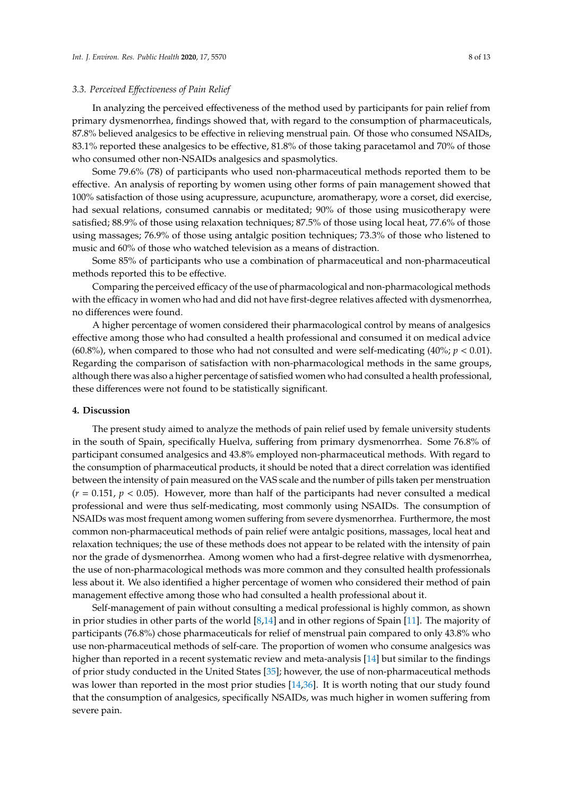## *3.3. Perceived E*ff*ectiveness of Pain Relief*

In analyzing the perceived effectiveness of the method used by participants for pain relief from primary dysmenorrhea, findings showed that, with regard to the consumption of pharmaceuticals, 87.8% believed analgesics to be effective in relieving menstrual pain. Of those who consumed NSAIDs, 83.1% reported these analgesics to be effective, 81.8% of those taking paracetamol and 70% of those who consumed other non-NSAIDs analgesics and spasmolytics.

Some 79.6% (78) of participants who used non-pharmaceutical methods reported them to be effective. An analysis of reporting by women using other forms of pain management showed that 100% satisfaction of those using acupressure, acupuncture, aromatherapy, wore a corset, did exercise, had sexual relations, consumed cannabis or meditated; 90% of those using musicotherapy were satisfied; 88.9% of those using relaxation techniques; 87.5% of those using local heat, 77.6% of those using massages; 76.9% of those using antalgic position techniques; 73.3% of those who listened to music and 60% of those who watched television as a means of distraction.

Some 85% of participants who use a combination of pharmaceutical and non-pharmaceutical methods reported this to be effective.

Comparing the perceived efficacy of the use of pharmacological and non-pharmacological methods with the efficacy in women who had and did not have first-degree relatives affected with dysmenorrhea, no differences were found.

A higher percentage of women considered their pharmacological control by means of analgesics effective among those who had consulted a health professional and consumed it on medical advice (60.8%), when compared to those who had not consulted and were self-medicating  $(40\%)$ ;  $p < 0.01$ ). Regarding the comparison of satisfaction with non-pharmacological methods in the same groups, although there was also a higher percentage of satisfied women who had consulted a health professional, these differences were not found to be statistically significant.

## **4. Discussion**

The present study aimed to analyze the methods of pain relief used by female university students in the south of Spain, specifically Huelva, suffering from primary dysmenorrhea. Some 76.8% of participant consumed analgesics and 43.8% employed non-pharmaceutical methods. With regard to the consumption of pharmaceutical products, it should be noted that a direct correlation was identified between the intensity of pain measured on the VAS scale and the number of pills taken per menstruation  $(r = 0.151, p < 0.05)$ . However, more than half of the participants had never consulted a medical professional and were thus self-medicating, most commonly using NSAIDs. The consumption of NSAIDs was most frequent among women suffering from severe dysmenorrhea. Furthermore, the most common non-pharmaceutical methods of pain relief were antalgic positions, massages, local heat and relaxation techniques; the use of these methods does not appear to be related with the intensity of pain nor the grade of dysmenorrhea. Among women who had a first-degree relative with dysmenorrhea, the use of non-pharmacological methods was more common and they consulted health professionals less about it. We also identified a higher percentage of women who considered their method of pain management effective among those who had consulted a health professional about it.

Self-management of pain without consulting a medical professional is highly common, as shown in prior studies in other parts of the world [\[8,](#page-10-4)[14\]](#page-10-10) and in other regions of Spain [\[11\]](#page-10-7). The majority of participants (76.8%) chose pharmaceuticals for relief of menstrual pain compared to only 43.8% who use non-pharmaceutical methods of self-care. The proportion of women who consume analgesics was higher than reported in a recent systematic review and meta-analysis [\[14\]](#page-10-10) but similar to the findings of prior study conducted in the United States [\[35\]](#page-11-15); however, the use of non-pharmaceutical methods was lower than reported in the most prior studies [\[14](#page-10-10)[,36\]](#page-11-16). It is worth noting that our study found that the consumption of analgesics, specifically NSAIDs, was much higher in women suffering from severe pain.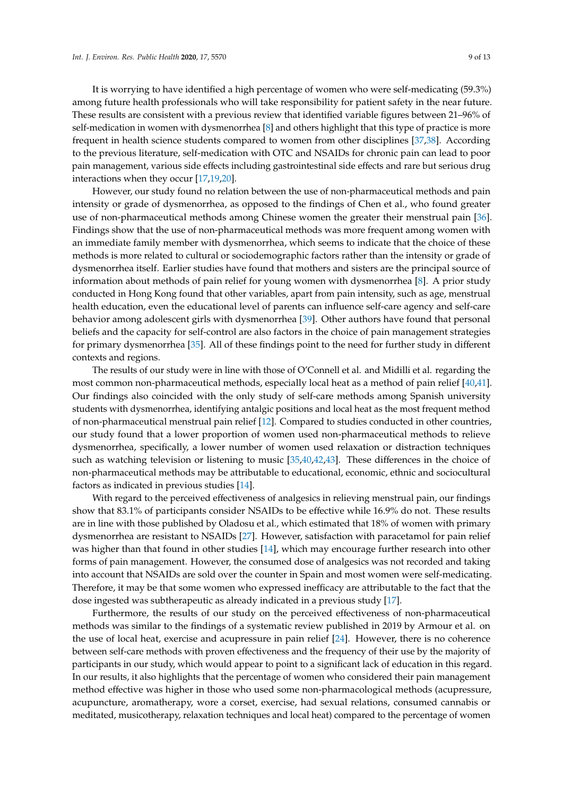It is worrying to have identified a high percentage of women who were self-medicating (59.3%) among future health professionals who will take responsibility for patient safety in the near future. These results are consistent with a previous review that identified variable figures between 21–96% of self-medication in women with dysmenorrhea [\[8\]](#page-10-4) and others highlight that this type of practice is more frequent in health science students compared to women from other disciplines [\[37](#page-11-17)[,38\]](#page-12-0). According to the previous literature, self-medication with OTC and NSAIDs for chronic pain can lead to poor pain management, various side effects including gastrointestinal side effects and rare but serious drug interactions when they occur [\[17,](#page-11-0)[19,](#page-11-2)[20\]](#page-11-3).

However, our study found no relation between the use of non-pharmaceutical methods and pain intensity or grade of dysmenorrhea, as opposed to the findings of Chen et al., who found greater use of non-pharmaceutical methods among Chinese women the greater their menstrual pain [\[36\]](#page-11-16). Findings show that the use of non-pharmaceutical methods was more frequent among women with an immediate family member with dysmenorrhea, which seems to indicate that the choice of these methods is more related to cultural or sociodemographic factors rather than the intensity or grade of dysmenorrhea itself. Earlier studies have found that mothers and sisters are the principal source of information about methods of pain relief for young women with dysmenorrhea [\[8\]](#page-10-4). A prior study conducted in Hong Kong found that other variables, apart from pain intensity, such as age, menstrual health education, even the educational level of parents can influence self-care agency and self-care behavior among adolescent girls with dysmenorrhea [\[39\]](#page-12-1). Other authors have found that personal beliefs and the capacity for self-control are also factors in the choice of pain management strategies for primary dysmenorrhea [\[35\]](#page-11-15). All of these findings point to the need for further study in different contexts and regions.

The results of our study were in line with those of O'Connell et al. and Midilli et al. regarding the most common non-pharmaceutical methods, especially local heat as a method of pain relief [\[40,](#page-12-2)[41\]](#page-12-3). Our findings also coincided with the only study of self-care methods among Spanish university students with dysmenorrhea, identifying antalgic positions and local heat as the most frequent method of non-pharmaceutical menstrual pain relief [\[12\]](#page-10-8). Compared to studies conducted in other countries, our study found that a lower proportion of women used non-pharmaceutical methods to relieve dysmenorrhea, specifically, a lower number of women used relaxation or distraction techniques such as watching television or listening to music [\[35](#page-11-15)[,40](#page-12-2)[,42,](#page-12-4)[43\]](#page-12-5). These differences in the choice of non-pharmaceutical methods may be attributable to educational, economic, ethnic and sociocultural factors as indicated in previous studies [\[14\]](#page-10-10).

With regard to the perceived effectiveness of analgesics in relieving menstrual pain, our findings show that 83.1% of participants consider NSAIDs to be effective while 16.9% do not. These results are in line with those published by Oladosu et al., which estimated that 18% of women with primary dysmenorrhea are resistant to NSAIDs [\[27\]](#page-11-9). However, satisfaction with paracetamol for pain relief was higher than that found in other studies [\[14\]](#page-10-10), which may encourage further research into other forms of pain management. However, the consumed dose of analgesics was not recorded and taking into account that NSAIDs are sold over the counter in Spain and most women were self-medicating. Therefore, it may be that some women who expressed inefficacy are attributable to the fact that the dose ingested was subtherapeutic as already indicated in a previous study [\[17\]](#page-11-0).

Furthermore, the results of our study on the perceived effectiveness of non-pharmaceutical methods was similar to the findings of a systematic review published in 2019 by Armour et al. on the use of local heat, exercise and acupressure in pain relief [\[24\]](#page-11-7). However, there is no coherence between self-care methods with proven effectiveness and the frequency of their use by the majority of participants in our study, which would appear to point to a significant lack of education in this regard. In our results, it also highlights that the percentage of women who considered their pain management method effective was higher in those who used some non-pharmacological methods (acupressure, acupuncture, aromatherapy, wore a corset, exercise, had sexual relations, consumed cannabis or meditated, musicotherapy, relaxation techniques and local heat) compared to the percentage of women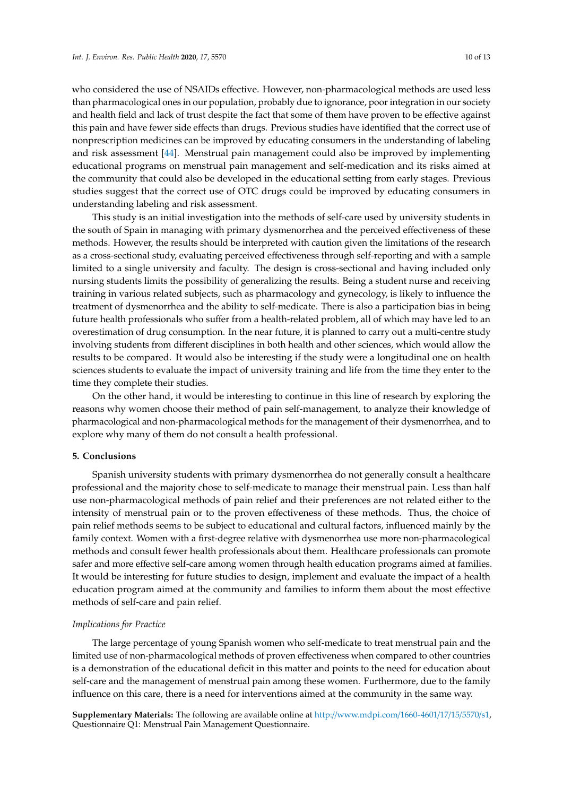who considered the use of NSAIDs effective. However, non-pharmacological methods are used less than pharmacological ones in our population, probably due to ignorance, poor integration in our society and health field and lack of trust despite the fact that some of them have proven to be effective against this pain and have fewer side effects than drugs. Previous studies have identified that the correct use of nonprescription medicines can be improved by educating consumers in the understanding of labeling and risk assessment [\[44\]](#page-12-6). Menstrual pain management could also be improved by implementing educational programs on menstrual pain management and self-medication and its risks aimed at the community that could also be developed in the educational setting from early stages. Previous studies suggest that the correct use of OTC drugs could be improved by educating consumers in understanding labeling and risk assessment.

This study is an initial investigation into the methods of self-care used by university students in the south of Spain in managing with primary dysmenorrhea and the perceived effectiveness of these methods. However, the results should be interpreted with caution given the limitations of the research as a cross-sectional study, evaluating perceived effectiveness through self-reporting and with a sample limited to a single university and faculty. The design is cross-sectional and having included only nursing students limits the possibility of generalizing the results. Being a student nurse and receiving training in various related subjects, such as pharmacology and gynecology, is likely to influence the treatment of dysmenorrhea and the ability to self-medicate. There is also a participation bias in being future health professionals who suffer from a health-related problem, all of which may have led to an overestimation of drug consumption. In the near future, it is planned to carry out a multi-centre study involving students from different disciplines in both health and other sciences, which would allow the results to be compared. It would also be interesting if the study were a longitudinal one on health sciences students to evaluate the impact of university training and life from the time they enter to the time they complete their studies.

On the other hand, it would be interesting to continue in this line of research by exploring the reasons why women choose their method of pain self-management, to analyze their knowledge of pharmacological and non-pharmacological methods for the management of their dysmenorrhea, and to explore why many of them do not consult a health professional.

## **5. Conclusions**

Spanish university students with primary dysmenorrhea do not generally consult a healthcare professional and the majority chose to self-medicate to manage their menstrual pain. Less than half use non-pharmacological methods of pain relief and their preferences are not related either to the intensity of menstrual pain or to the proven effectiveness of these methods. Thus, the choice of pain relief methods seems to be subject to educational and cultural factors, influenced mainly by the family context. Women with a first-degree relative with dysmenorrhea use more non-pharmacological methods and consult fewer health professionals about them. Healthcare professionals can promote safer and more effective self-care among women through health education programs aimed at families. It would be interesting for future studies to design, implement and evaluate the impact of a health education program aimed at the community and families to inform them about the most effective methods of self-care and pain relief.

## *Implications for Practice*

The large percentage of young Spanish women who self-medicate to treat menstrual pain and the limited use of non-pharmacological methods of proven effectiveness when compared to other countries is a demonstration of the educational deficit in this matter and points to the need for education about self-care and the management of menstrual pain among these women. Furthermore, due to the family influence on this care, there is a need for interventions aimed at the community in the same way.

**Supplementary Materials:** The following are available online at http://[www.mdpi.com](http://www.mdpi.com/1660-4601/17/15/5570/s1)/1660-4601/17/15/5570/s1, Questionnaire Q1: Menstrual Pain Management Questionnaire.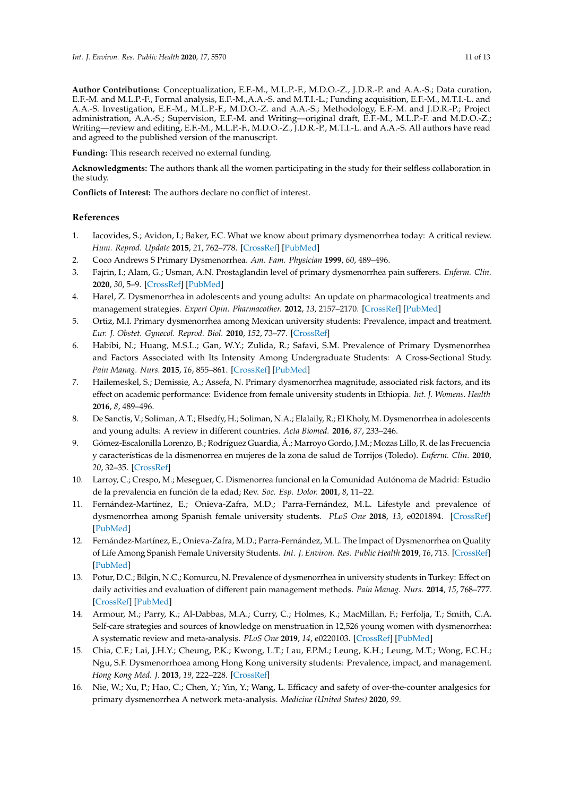**Author Contributions:** Conceptualization, E.F.-M., M.L.P.-F., M.D.O.-Z., J.D.R.-P. and A.A.-S.; Data curation, E.F.-M. and M.L.P.-F., Formal analysis, E.F.-M.,A.A.-S. and M.T.I.-L.; Funding acquisition, E.F.-M., M.T.I.-L. and A.A.-S. Investigation, E.F.-M., M.L.P.-F., M.D.O.-Z. and A.A.-S.; Methodology, E.F.-M. and J.D.R.-P.; Project administration, A.A.-S.; Supervision, E.F.-M. and Writing—original draft, E.F.-M., M.L.P.-F. and M.D.O.-Z.; Writing—review and editing, E.F.-M., M.L.P.-F., M.D.O.-Z., J.D.R.-P., M.T.I.-L. and A.A.-S. All authors have read and agreed to the published version of the manuscript.

**Funding:** This research received no external funding.

**Acknowledgments:** The authors thank all the women participating in the study for their selfless collaboration in the study.

**Conflicts of Interest:** The authors declare no conflict of interest.

# **References**

- <span id="page-10-0"></span>1. Iacovides, S.; Avidon, I.; Baker, F.C. What we know about primary dysmenorrhea today: A critical review. *Hum. Reprod. Update* **2015**, *21*, 762–778. [\[CrossRef\]](http://dx.doi.org/10.1093/humupd/dmv039) [\[PubMed\]](http://www.ncbi.nlm.nih.gov/pubmed/26346058)
- 2. Coco Andrews S Primary Dysmenorrhea. *Am. Fam. Physician* **1999**, *60*, 489–496.
- <span id="page-10-1"></span>3. Fajrin, I.; Alam, G.; Usman, A.N. Prostaglandin level of primary dysmenorrhea pain sufferers. *Enferm. Clin.* **2020**, *30*, 5–9. [\[CrossRef\]](http://dx.doi.org/10.1016/j.enfcli.2019.07.016) [\[PubMed\]](http://www.ncbi.nlm.nih.gov/pubmed/32204223)
- <span id="page-10-2"></span>4. Harel, Z. Dysmenorrhea in adolescents and young adults: An update on pharmacological treatments and management strategies. *Expert Opin. Pharmacother.* **2012**, *13*, 2157–2170. [\[CrossRef\]](http://dx.doi.org/10.1517/14656566.2012.725045) [\[PubMed\]](http://www.ncbi.nlm.nih.gov/pubmed/22984937)
- <span id="page-10-3"></span>5. Ortiz, M.I. Primary dysmenorrhea among Mexican university students: Prevalence, impact and treatment. *Eur. J. Obstet. Gynecol. Reprod. Biol.* **2010**, *152*, 73–77. [\[CrossRef\]](http://dx.doi.org/10.1016/j.ejogrb.2010.04.015)
- 6. Habibi, N.; Huang, M.S.L.; Gan, W.Y.; Zulida, R.; Safavi, S.M. Prevalence of Primary Dysmenorrhea and Factors Associated with Its Intensity Among Undergraduate Students: A Cross-Sectional Study. *Pain Manag. Nurs.* **2015**, *16*, 855–861. [\[CrossRef\]](http://dx.doi.org/10.1016/j.pmn.2015.07.001) [\[PubMed\]](http://www.ncbi.nlm.nih.gov/pubmed/26328887)
- 7. Hailemeskel, S.; Demissie, A.; Assefa, N. Primary dysmenorrhea magnitude, associated risk factors, and its effect on academic performance: Evidence from female university students in Ethiopia. *Int. J. Womens. Health* **2016**, *8*, 489–496.
- <span id="page-10-4"></span>8. De Sanctis, V.; Soliman, A.T.; Elsedfy, H.; Soliman, N.A.; Elalaily, R.; El Kholy, M. Dysmenorrhea in adolescents and young adults: A review in different countries. *Acta Biomed.* **2016**, *87*, 233–246.
- <span id="page-10-5"></span>9. Gómez-Escalonilla Lorenzo, B.; Rodríguez Guardia, Á.; Marroyo Gordo, J.M.; Mozas Lillo, R. de las Frecuencia y características de la dismenorrea en mujeres de la zona de salud de Torrijos (Toledo). *Enferm. Clin.* **2010**, *20*, 32–35. [\[CrossRef\]](http://dx.doi.org/10.1016/j.enfcli.2009.09.001)
- <span id="page-10-6"></span>10. Larroy, C.; Crespo, M.; Meseguer, C. Dismenorrea funcional en la Comunidad Autónoma de Madrid: Estudio de la prevalencia en función de la edad; Rev. *Soc. Esp. Dolor.* **2001**, *8*, 11–22.
- <span id="page-10-7"></span>11. Fernández-Martínez, E.; Onieva-Zafra, M.D.; Parra-Fernández, M.L. Lifestyle and prevalence of dysmenorrhea among Spanish female university students. *PLoS One* **2018**, *13*, e0201894. [\[CrossRef\]](http://dx.doi.org/10.1371/journal.pone.0201894) [\[PubMed\]](http://www.ncbi.nlm.nih.gov/pubmed/30096156)
- <span id="page-10-8"></span>12. Fernández-Martínez, E.; Onieva-Zafra, M.D.; Parra-Fernández, M.L. The Impact of Dysmenorrhea on Quality of Life Among Spanish Female University Students. *Int. J. Environ. Res. Public Health* **2019**, *16*, 713. [\[CrossRef\]](http://dx.doi.org/10.3390/ijerph16050713) [\[PubMed\]](http://www.ncbi.nlm.nih.gov/pubmed/30818861)
- <span id="page-10-9"></span>13. Potur, D.C.; Bilgin, N.C.; Komurcu, N. Prevalence of dysmenorrhea in university students in Turkey: Effect on daily activities and evaluation of different pain management methods. *Pain Manag. Nurs.* **2014**, *15*, 768–777. [\[CrossRef\]](http://dx.doi.org/10.1016/j.pmn.2013.07.012) [\[PubMed\]](http://www.ncbi.nlm.nih.gov/pubmed/24230963)
- <span id="page-10-10"></span>14. Armour, M.; Parry, K.; Al-Dabbas, M.A.; Curry, C.; Holmes, K.; MacMillan, F.; Ferfolja, T.; Smith, C.A. Self-care strategies and sources of knowledge on menstruation in 12,526 young women with dysmenorrhea: A systematic review and meta-analysis. *PLoS One* **2019**, *14*, e0220103. [\[CrossRef\]](http://dx.doi.org/10.1371/journal.pone.0220103) [\[PubMed\]](http://www.ncbi.nlm.nih.gov/pubmed/31339951)
- <span id="page-10-11"></span>15. Chia, C.F.; Lai, J.H.Y.; Cheung, P.K.; Kwong, L.T.; Lau, F.P.M.; Leung, K.H.; Leung, M.T.; Wong, F.C.H.; Ngu, S.F. Dysmenorrhoea among Hong Kong university students: Prevalence, impact, and management. *Hong Kong Med. J.* **2013**, *19*, 222–228. [\[CrossRef\]](http://dx.doi.org/10.12809/hkmj133807)
- <span id="page-10-12"></span>16. Nie, W.; Xu, P.; Hao, C.; Chen, Y.; Yin, Y.; Wang, L. Efficacy and safety of over-the-counter analgesics for primary dysmenorrhea A network meta-analysis. *Medicine (United States)* **2020**, *99*.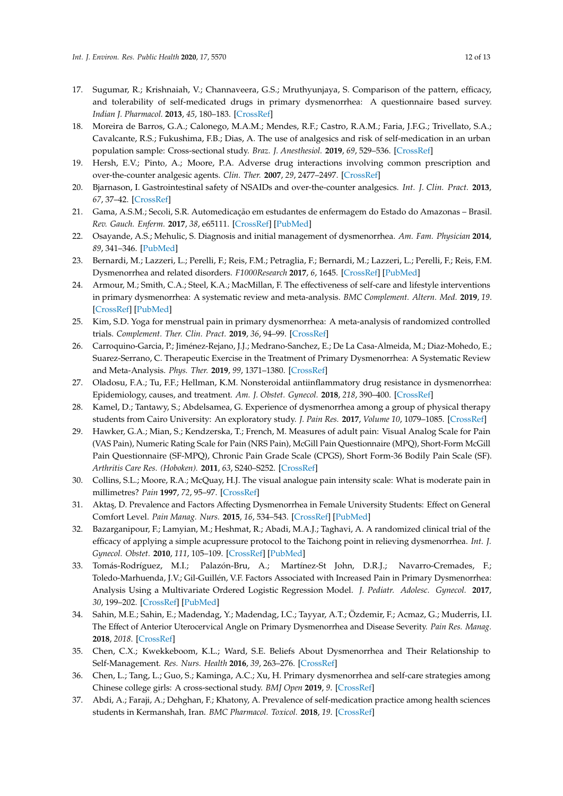- <span id="page-11-0"></span>17. Sugumar, R.; Krishnaiah, V.; Channaveera, G.S.; Mruthyunjaya, S. Comparison of the pattern, efficacy, and tolerability of self-medicated drugs in primary dysmenorrhea: A questionnaire based survey. *Indian J. Pharmacol.* **2013**, *45*, 180–183. [\[CrossRef\]](http://dx.doi.org/10.4103/0253-7613.108312)
- <span id="page-11-1"></span>18. Moreira de Barros, G.A.; Calonego, M.A.M.; Mendes, R.F.; Castro, R.A.M.; Faria, J.F.G.; Trivellato, S.A.; Cavalcante, R.S.; Fukushima, F.B.; Dias, A. The use of analgesics and risk of self-medication in an urban population sample: Cross-sectional study. *Braz. J. Anesthesiol.* **2019**, *69*, 529–536. [\[CrossRef\]](http://dx.doi.org/10.1016/j.bjan.2019.09.005)
- <span id="page-11-2"></span>19. Hersh, E.V.; Pinto, A.; Moore, P.A. Adverse drug interactions involving common prescription and over-the-counter analgesic agents. *Clin. Ther.* **2007**, *29*, 2477–2497. [\[CrossRef\]](http://dx.doi.org/10.1016/j.clinthera.2007.12.003)
- <span id="page-11-3"></span>20. Bjarnason, I. Gastrointestinal safety of NSAIDs and over-the-counter analgesics. *Int. J. Clin. Pract.* **2013**, *67*, 37–42. [\[CrossRef\]](http://dx.doi.org/10.1111/ijcp.12048)
- <span id="page-11-4"></span>21. Gama, A.S.M.; Secoli, S.R. Automedicação em estudantes de enfermagem do Estado do Amazonas – Brasil. *Rev. Gauch. Enferm.* **2017**, *38*, e65111. [\[CrossRef\]](http://dx.doi.org/10.1590/1983-1447.2017.01.65111) [\[PubMed\]](http://www.ncbi.nlm.nih.gov/pubmed/28538809)
- <span id="page-11-5"></span>22. Osayande, A.S.; Mehulic, S. Diagnosis and initial management of dysmenorrhea. *Am. Fam. Physician* **2014**, *89*, 341–346. [\[PubMed\]](http://www.ncbi.nlm.nih.gov/pubmed/24695505)
- <span id="page-11-6"></span>23. Bernardi, M.; Lazzeri, L.; Perelli, F.; Reis, F.M.; Petraglia, F.; Bernardi, M.; Lazzeri, L.; Perelli, F.; Reis, F.M. Dysmenorrhea and related disorders. *F1000Research* **2017**, *6*, 1645. [\[CrossRef\]](http://dx.doi.org/10.12688/f1000research.11682.1) [\[PubMed\]](http://www.ncbi.nlm.nih.gov/pubmed/28944048)
- <span id="page-11-7"></span>24. Armour, M.; Smith, C.A.; Steel, K.A.; MacMillan, F. The effectiveness of self-care and lifestyle interventions in primary dysmenorrhea: A systematic review and meta-analysis. *BMC Complement. Altern. Med.* **2019**, *19*. [\[CrossRef\]](http://dx.doi.org/10.1186/s12906-019-2433-8) [\[PubMed\]](http://www.ncbi.nlm.nih.gov/pubmed/30654775)
- 25. Kim, S.D. Yoga for menstrual pain in primary dysmenorrhea: A meta-analysis of randomized controlled trials. *Complement. Ther. Clin. Pract.* **2019**, *36*, 94–99. [\[CrossRef\]](http://dx.doi.org/10.1016/j.ctcp.2019.06.006)
- <span id="page-11-8"></span>26. Carroquino-Garcia, P.; Jiménez-Rejano, J.J.; Medrano-Sanchez, E.; De La Casa-Almeida, M.; Diaz-Mohedo, E.; Suarez-Serrano, C. Therapeutic Exercise in the Treatment of Primary Dysmenorrhea: A Systematic Review and Meta-Analysis. *Phys. Ther.* **2019**, *99*, 1371–1380. [\[CrossRef\]](http://dx.doi.org/10.1093/ptj/pzz101)
- <span id="page-11-9"></span>27. Oladosu, F.A.; Tu, F.F.; Hellman, K.M. Nonsteroidal antiinflammatory drug resistance in dysmenorrhea: Epidemiology, causes, and treatment. *Am. J. Obstet. Gynecol.* **2018**, *218*, 390–400. [\[CrossRef\]](http://dx.doi.org/10.1016/j.ajog.2017.08.108)
- <span id="page-11-10"></span>28. Kamel, D.; Tantawy, S.; Abdelsamea, G. Experience of dysmenorrhea among a group of physical therapy students from Cairo University: An exploratory study. *J. Pain Res.* **2017**, *Volume 10*, 1079–1085. [\[CrossRef\]](http://dx.doi.org/10.2147/JPR.S132544)
- <span id="page-11-11"></span>29. Hawker, G.A.; Mian, S.; Kendzerska, T.; French, M. Measures of adult pain: Visual Analog Scale for Pain (VAS Pain), Numeric Rating Scale for Pain (NRS Pain), McGill Pain Questionnaire (MPQ), Short-Form McGill Pain Questionnaire (SF-MPQ), Chronic Pain Grade Scale (CPGS), Short Form-36 Bodily Pain Scale (SF). *Arthritis Care Res. (Hoboken).* **2011**, *63*, S240–S252. [\[CrossRef\]](http://dx.doi.org/10.1002/acr.20543)
- 30. Collins, S.L.; Moore, R.A.; McQuay, H.J. The visual analogue pain intensity scale: What is moderate pain in millimetres? *Pain* **1997**, *72*, 95–97. [\[CrossRef\]](http://dx.doi.org/10.1016/S0304-3959(97)00005-5)
- <span id="page-11-12"></span>31. Aktaş, D. Prevalence and Factors Affecting Dysmenorrhea in Female University Students: Effect on General Comfort Level. *Pain Manag. Nurs.* **2015**, *16*, 534–543. [\[CrossRef\]](http://dx.doi.org/10.1016/j.pmn.2014.10.004) [\[PubMed\]](http://www.ncbi.nlm.nih.gov/pubmed/26256218)
- <span id="page-11-13"></span>32. Bazarganipour, F.; Lamyian, M.; Heshmat, R.; Abadi, M.A.J.; Taghavi, A. A randomized clinical trial of the efficacy of applying a simple acupressure protocol to the Taichong point in relieving dysmenorrhea. *Int. J. Gynecol. Obstet.* **2010**, *111*, 105–109. [\[CrossRef\]](http://dx.doi.org/10.1016/j.ijgo.2010.04.030) [\[PubMed\]](http://www.ncbi.nlm.nih.gov/pubmed/20547392)
- 33. Tomás-Rodríguez, M.I.; Palazón-Bru, A.; Martínez-St John, D.R.J.; Navarro-Cremades, F.; Toledo-Marhuenda, J.V.; Gil-Guillén, V.F. Factors Associated with Increased Pain in Primary Dysmenorrhea: Analysis Using a Multivariate Ordered Logistic Regression Model. *J. Pediatr. Adolesc. Gynecol.* **2017**, *30*, 199–202. [\[CrossRef\]](http://dx.doi.org/10.1016/j.jpag.2016.09.007) [\[PubMed\]](http://www.ncbi.nlm.nih.gov/pubmed/27693647)
- <span id="page-11-14"></span>34. Sahin, M.E.; Sahin, E.; Madendag, Y.; Madendag, I.C.; Tayyar, A.T.; Özdemir, F.; Acmaz, G.; Muderris, I.I. The Effect of Anterior Uterocervical Angle on Primary Dysmenorrhea and Disease Severity. *Pain Res. Manag.* **2018**, *2018*. [\[CrossRef\]](http://dx.doi.org/10.1155/2018/9819402)
- <span id="page-11-15"></span>35. Chen, C.X.; Kwekkeboom, K.L.; Ward, S.E. Beliefs About Dysmenorrhea and Their Relationship to Self-Management. *Res. Nurs. Health* **2016**, *39*, 263–276. [\[CrossRef\]](http://dx.doi.org/10.1002/nur.21726)
- <span id="page-11-16"></span>36. Chen, L.; Tang, L.; Guo, S.; Kaminga, A.C.; Xu, H. Primary dysmenorrhea and self-care strategies among Chinese college girls: A cross-sectional study. *BMJ Open* **2019**, *9*. [\[CrossRef\]](http://dx.doi.org/10.1136/bmjopen-2018-026813)
- <span id="page-11-17"></span>37. Abdi, A.; Faraji, A.; Dehghan, F.; Khatony, A. Prevalence of self-medication practice among health sciences students in Kermanshah, Iran. *BMC Pharmacol. Toxicol.* **2018**, *19*. [\[CrossRef\]](http://dx.doi.org/10.1186/s40360-018-0231-4)